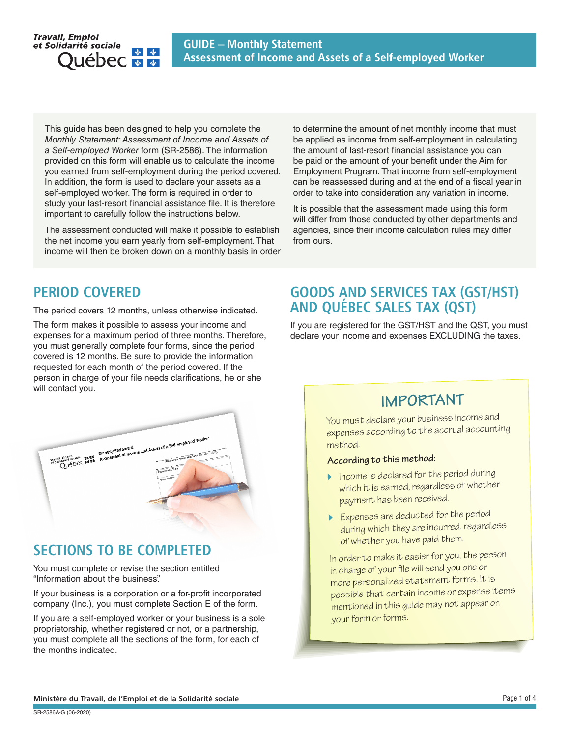

This guide has been designed to help you complete the *Monthly Statement: Assessment of Income and Assets of a Self-employed Worker* form (SR-2586). The information provided on this form will enable us to calculate the income you earned from self-employment during the period covered. In addition, the form is used to declare your assets as a self-employed worker. The form is required in order to study your last-resort financial assistance file. It is therefore important to carefully follow the instructions below.

The assessment conducted will make it possible to establish the net income you earn yearly from self-employment. That income will then be broken down on a monthly basis in order to determine the amount of net monthly income that must be applied as income from self-employment in calculating the amount of last-resort financial assistance you can be paid or the amount of your benefit under the Aim for Employment Program. That income from self-employment can be reassessed during and at the end of a fiscal year in order to take into consideration any variation in income.

It is possible that the assessment made using this form will differ from those conducted by other departments and agencies, since their income calculation rules may differ from ours.

## PERIOD COVERED

The period covers 12 months, unless otherwise indicated.

The form makes it possible to assess your income and expenses for a maximum period of three months. Therefore, you must generally complete four forms, since the period covered is 12 months. Be sure to provide the information requested for each month of the period covered. If the person in charge of your file needs clarifications, he or she will contact you.



## SECTIONS TO BE COMPLETED

You must complete or revise the section entitled "Information about the business".

If your business is a corporation or a for-profit incorporated company (Inc.), you must complete Section E of the form.

If you are a self-employed worker or your business is a sole proprietorship, whether registered or not, or a partnership, you must complete all the sections of the form, for each of the months indicated.

## GOODS AND SERVICES TAX (GST/HST) AND QUÉBEC SALES TAX (QST)

If you are registered for the GST/HST and the QST, you must declare your income and expenses EXCLUDING the taxes.

## **IMPORTANT**

You must declare your business income an<sup>d</sup> expenses according to the accrual accounting method.

#### **According to this method:**

- $\triangleright$  Income is declared for the period during which it is earned, regardless of whether payment has been received.
- Expenses are deducted for the period during which they are incurred, regardless of whether you have paid them.

In order to make it easier for you, the person in charge of your file will send you one or more personalized statement forms. It is possible that certain income or expense items mentioned in this guide may not appear on your form or forms.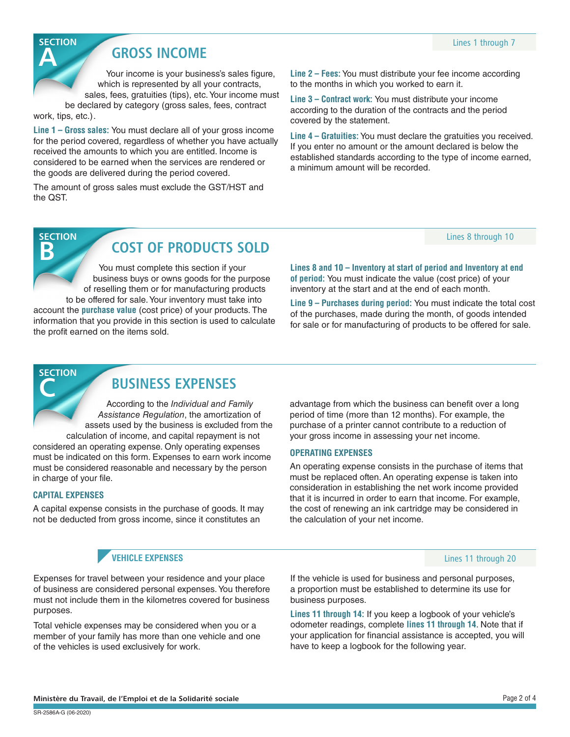## **GROSS INCOME**

Your income is your business's sales figure, which is represented by all your contracts, sales, fees, gratuities (tips), etc. Your income must

be declared by category (gross sales, fees, contract work, tips, etc.) .

**Line 1 – Gross sales:** You must declare all of your gross income for the period covered, regardless of whether you have actually received the amounts to which you are entitled. Income is considered to be earned when the services are rendered or the goods are delivered during the period covered.

The amount of gross sales must exclude the GST/HST and the QST.

**Line 2 – Fees:** You must distribute your fee income according to the months in which you worked to earn it.

**Line 3 – Contract work:** You must distribute your income according to the duration of the contracts and the period covered by the statement.

**Line 4 – Gratuities:** You must declare the gratuities you received. If you enter no amount or the amount declared is below the established standards according to the type of income earned, a minimum amount will be recorded.

#### Lines 8 through 10

# **SECTION**

**SECTION** 

## **B** COST OF PRODUCTS SOLD

You must complete this section if your business buys or owns goods for the purpose of reselling them or for manufacturing products

to be offered for sale. Your inventory must take into account the **purchase value** (cost price) of your products. The information that you provide in this section is used to calculate the profit earned on the items sold.

**Lines 8 and 10 – Inventory at start of period and Inventory at end of period:** You must indicate the value (cost price) of your inventory at the start and at the end of each month.

**Line 9 – Purchases during period:** You must indicate the total cost of the purchases, made during the month, of goods intended for sale or for manufacturing of products to be offered for sale.

**SECTION** 

## **BUSINESS EXPENSES**

According to the *Individual and Family Assistance Regulation*, the amortization of assets used by the business is excluded from the calculation of income, and capital repayment is not considered an operating expense. Only operating expenses must be indicated on this form. Expenses to earn work income must be considered reasonable and necessary by the person in charge of your file.

#### **CAPITAL EXPENSES**

A capital expense consists in the purchase of goods. It may not be deducted from gross income, since it constitutes an

#### advantage from which the business can benefit over a long period of time (more than 12 months). For example, the purchase of a printer cannot contribute to a reduction of your gross income in assessing your net income.

#### **OPERATING EXPENSES**

An operating expense consists in the purchase of items that must be replaced often. An operating expense is taken into consideration in establishing the net work income provided that it is incurred in order to earn that income. For example, the cost of renewing an ink cartridge may be considered in the calculation of your net income.

#### **VEHICLE EXPENSES**

Expenses for travel between your residence and your place of business are considered personal expenses. You therefore must not include them in the kilometres covered for business purposes.

Total vehicle expenses may be considered when you or a member of your family has more than one vehicle and one of the vehicles is used exclusively for work.

If the vehicle is used for business and personal purposes,

Lines 11 through 20

a proportion must be established to determine its use for business purposes.

**Lines 11 through 14:** If you keep a logbook of your vehicle's odometer readings, complete **lines 11 through 14**. Note that if your application for financial assistance is accepted, you will have to keep a logbook for the following year.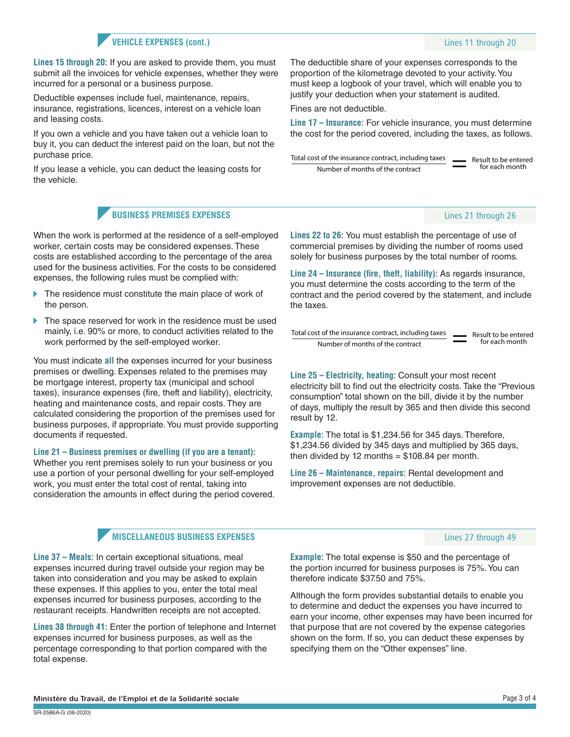#### **VEHICLE EXPENSES (cont.)**

**Lines 15 through 20:** If you are asked to provide them, you must submit all the invoices for vehicle expenses, whether they were incurred for a personal or a business purpose.

Deductible expenses include fuel, maintenance, repairs, insurance, registrations, licences, interest on a vehicle loan and leasing costs.

If you own a vehicle and you have taken out a vehicle loan to buy it, you can deduct the interest paid on the loan, but not the purchase price.

If you lease a vehicle, you can deduct the leasing costs for the vehicle.

#### **BUSINESS PREMISES EXPENSES**

When the work is performed at the residence of a self-employed worker, certain costs may be considered expenses. These costs are established according to the percentage of the area used for the business activities. For the costs to be considered expenses, the following rules must be complied with:

- The residence must constitute the main place of work of the person.
- The space reserved for work in the residence must be used mainly, i.e. 90% or more, to conduct activities related to the work performed by the self-employed worker.

You must indicate **all** the expenses incurred for your business premises or dwelling. Expenses related to the premises may be mortgage interest, property tax (municipal and school taxes), insurance expenses (fire, theft and liability), electricity, heating and maintenance costs, and repair costs. They are calculated considering the proportion of the premises used for business purposes, if appropriate. You must provide supporting documents if requested.

**Line 21 – Business premises or dwelling (if you are a tenant):**

Whether you rent premises solely to run your business or you use a portion of your personal dwelling for your self-employed work, you must enter the total cost of rental, taking into consideration the amounts in effect during the period covered.

#### **MISCELLANEOUS BUSINESS EXPENSES**

**Line 37 – Meals:** In certain exceptional situations, meal expenses incurred during travel outside your region may be taken into consideration and you may be asked to explain these expenses. If this applies to you, enter the total meal expenses incurred for business purposes, according to the restaurant receipts. Handwritten receipts are not accepted.

**Lines 38 through 41:** Enter the portion of telephone and Internet expenses incurred for business purposes, as well as the percentage corresponding to that portion compared with the total expense.

The deductible share of your expenses corresponds to the proportion of the kilometrage devoted to your activity. You must keep a logbook of your travel, which will enable you to justify your deduction when your statement is audited.

Fines are not deductible.

**Line 17 – Insurance:** For vehicle insurance, you must determine the cost for the period covered, including the taxes, as follows.

Result to be entered for each month Total cost of the insurance contract, including taxes Number of months of the contract =

#### Lines 21 through 26

**Lines 22 to 26:** You must establish the percentage of use of commercial premises by dividing the number of rooms used solely for business purposes by the total number of rooms.

**Line 24 – Insurance (fire, theft, liability):** As regards insurance, you must determine the costs according to the term of the contract and the period covered by the statement, and include the taxes.

| Total cost of the insurance contract, including taxes | $\sim$<br>$\overline{\phantom{a}}$ | Result to be entered<br>for each month |
|-------------------------------------------------------|------------------------------------|----------------------------------------|
| Number of months of the contract                      |                                    |                                        |

**Line 25 – Electricity, heating:** Consult your most recent electricity bill to find out the electricity costs. Take the "Previous consumption" total shown on the bill, divide it by the number of days, multiply the result by 365 and then divide this second result by 12.

**Example:** The total is \$1,234.56 for 345 days. Therefore, \$1,234.56 divided by 345 days and multiplied by 365 days, then divided by 12 months  $= $108.84$  per month.

**Line 26 – Maintenance, repairs:** Rental development and improvement expenses are not deductible.

#### Lines 27 through 49

**Example:** The total expense is \$50 and the percentage of the portion incurred for business purposes is 75%. You can therefore indicate \$37.50 and 75%.

Although the form provides substantial details to enable you to determine and deduct the expenses you have incurred to earn your income, other expenses may have been incurred for that purpose that are not covered by the expense categories shown on the form. If so, you can deduct these expenses by specifying them on the "Other expenses" line.